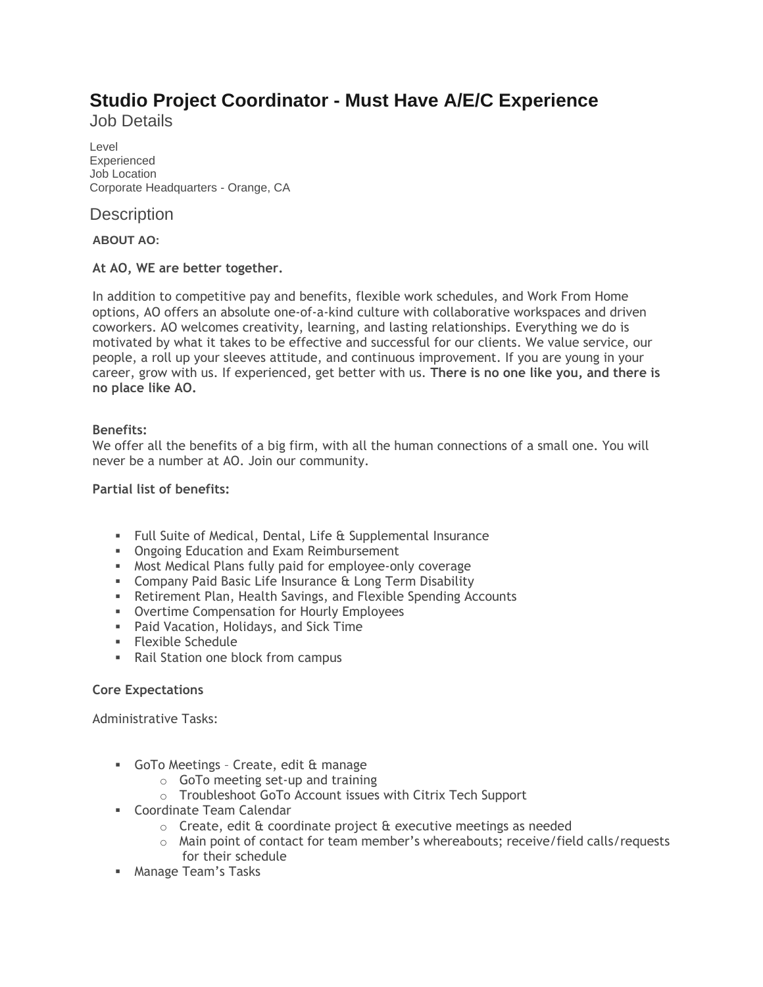# **Studio Project Coordinator - Must Have A/E/C Experience**

Job Details

Level Experienced Job Location Corporate Headquarters - Orange, CA

## **Description**

**ABOUT AO:**

### **At AO, WE are better together.**

In addition to competitive pay and benefits, flexible work schedules, and Work From Home options, AO offers an absolute one-of-a-kind culture with collaborative workspaces and driven coworkers. AO welcomes creativity, learning, and lasting relationships. Everything we do is motivated by what it takes to be effective and successful for our clients. We value service, our people, a roll up your sleeves attitude, and continuous improvement. If you are young in your career, grow with us. If experienced, get better with us. **There is no one like you, and there is no place like AO.**

### **Benefits:**

We offer all the benefits of a big firm, with all the human connections of a small one. You will never be a number at AO. Join our community.

#### **Partial list of benefits:**

- Full Suite of Medical, Dental, Life & Supplemental Insurance
- **Ongoing Education and Exam Reimbursement**
- Most Medical Plans fully paid for employee-only coverage
- **EXECOMPANY Paid Basic Life Insurance & Long Term Disability**
- **EXECTER PLAN**, Health Savings, and Flexible Spending Accounts
- Overtime Compensation for Hourly Employees
- Paid Vacation, Holidays, and Sick Time
- Flexible Schedule
- Rail Station one block from campus

#### **Core Expectations**

Administrative Tasks:

- GoTo Meetings Create, edit & manage
	- o GoTo meeting set-up and training
	- o Troubleshoot GoTo Account issues with Citrix Tech Support
- Coordinate Team Calendar
	- $\circ$  Create, edit & coordinate project & executive meetings as needed
	- $\circ$  Main point of contact for team member's whereabouts; receive/field calls/requests for their schedule
- Manage Team's Tasks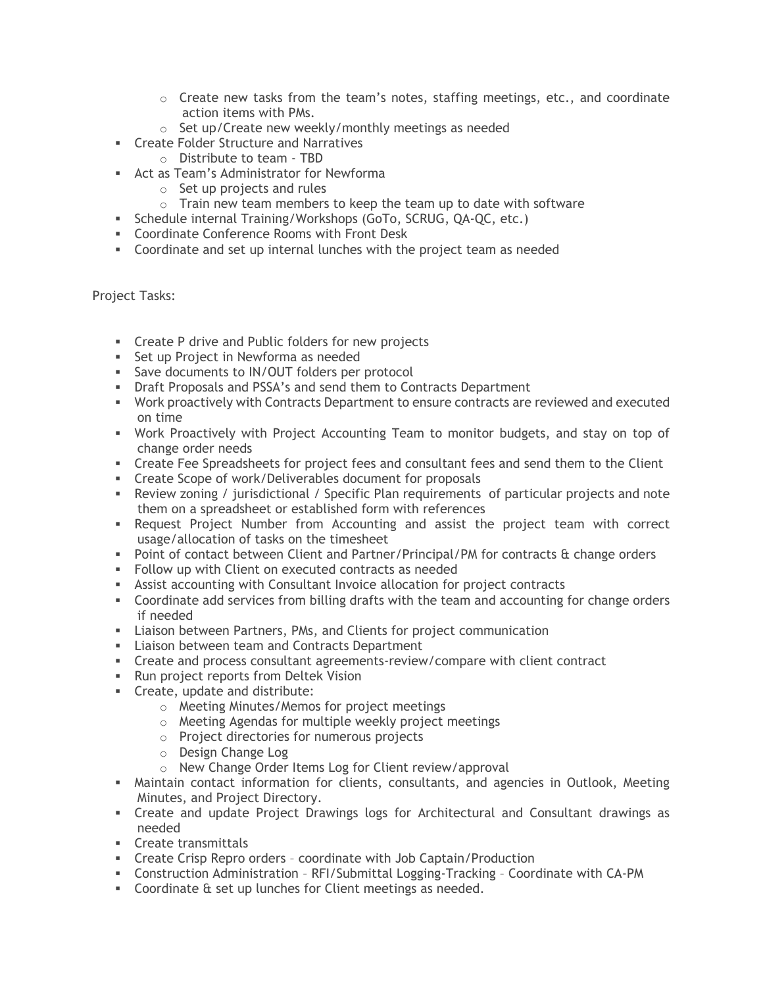- $\circ$  Create new tasks from the team's notes, staffing meetings, etc., and coordinate action items with PMs.
- o Set up/Create new weekly/monthly meetings as needed
- **EXECTE Folder Structure and Narratives**
- o Distribute to team TBD
- Act as Team's Administrator for Newforma
	- o Set up projects and rules
	- $\circ$  Train new team members to keep the team up to date with software
- **E** Schedule internal Training/Workshops (GoTo, SCRUG, QA-QC, etc.)
- **EXECO** Coordinate Conference Rooms with Front Desk
- Coordinate and set up internal lunches with the project team as needed

Project Tasks:

- Create P drive and Public folders for new projects
- **EXECT:** Set up Project in Newforma as needed
- Save documents to IN/OUT folders per protocol
- **Draft Proposals and PSSA's and send them to Contracts Department**
- Work proactively with Contracts Department to ensure contracts are reviewed and executed on time
- Work Proactively with Project Accounting Team to monitor budgets, and stay on top of change order needs
- Create Fee Spreadsheets for project fees and consultant fees and send them to the Client
- Create Scope of work/Deliverables document for proposals
- **•** Review zoning / jurisdictional / Specific Plan requirements of particular projects and note them on a spreadsheet or established form with references
- **EXEL Account:** Request Project Number from Accounting and assist the project team with correct usage/allocation of tasks on the timesheet
- Point of contact between Client and Partner/Principal/PM for contracts & change orders
- Follow up with Client on executed contracts as needed
- **EXECO Assist accounting with Consultant Invoice allocation for project contracts**
- **•** Coordinate add services from billing drafts with the team and accounting for change orders if needed
- **E** Liaison between Partners, PMs, and Clients for project communication
- **EXECT:** Liaison between team and Contracts Department
- Create and process consultant agreements-review/compare with client contract
- Run project reports from Deltek Vision
- Create, update and distribute:
	- o Meeting Minutes/Memos for project meetings
	- o Meeting Agendas for multiple weekly project meetings
	- o Project directories for numerous projects
	- o Design Change Log
	- o New Change Order Items Log for Client review/approval
- **■** Maintain contact information for clients, consultants, and agencies in Outlook, Meeting Minutes, and Project Directory.
- Create and update Project Drawings logs for Architectural and Consultant drawings as needed
- Create transmittals
- **EXECR** Crisp Repro orders coordinate with Job Captain/Production
- Construction Administration RFI/Submittal Logging-Tracking Coordinate with CA-PM
- Coordinate & set up lunches for Client meetings as needed.